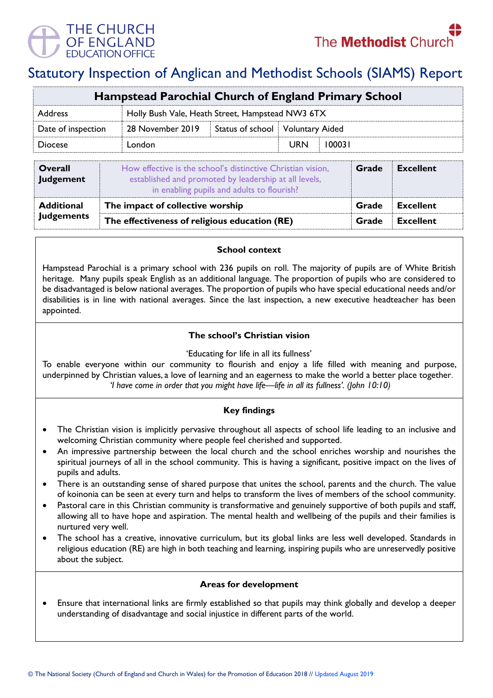

# Statutory Inspection of Anglican and Methodist Schools (SIAMS) Report

| <b>Hampstead Parochial Church of England Primary School</b> |                                                                                                                                                                    |                                                  |                        |                  |  |
|-------------------------------------------------------------|--------------------------------------------------------------------------------------------------------------------------------------------------------------------|--------------------------------------------------|------------------------|------------------|--|
| <b>Address</b>                                              |                                                                                                                                                                    | Holly Bush Vale, Heath Street, Hampstead NW3 6TX |                        |                  |  |
| Date of inspection                                          | 28 November 2019<br>Status of school                                                                                                                               |                                                  | <b>Voluntary Aided</b> |                  |  |
| <b>Diocese</b>                                              | London                                                                                                                                                             | <b>URN</b>                                       | 100031                 |                  |  |
| <b>Overall</b><br><b>Judgement</b>                          | How effective is the school's distinctive Christian vision,<br>established and promoted by leadership at all levels,<br>in enabling pupils and adults to flourish? | Grade                                            | <b>Excellent</b>       |                  |  |
| <b>Additional</b>                                           | The impact of collective worship                                                                                                                                   |                                                  | Grade                  | <b>Excellent</b> |  |
| <b>Judgements</b>                                           | The effectiveness of religious education (RE)                                                                                                                      |                                                  |                        | <b>Excellent</b> |  |

#### **School context**

Hampstead Parochial is a primary school with 236 pupils on roll. The majority of pupils are of White British heritage. Many pupils speak English as an additional language. The proportion of pupils who are considered to be disadvantaged is below national averages. The proportion of pupils who have special educational needs and/or disabilities is in line with national averages. Since the last inspection, a new executive headteacher has been appointed.

## **The school's Christian vision**

'Educating for life in all its fullness'

To enable everyone within our community to flourish and enjoy a life filled with meaning and purpose, underpinned by Christian values, a love of learning and an eagerness to make the world a better place together. *'I have come in order that you might have life—life in all its fullness'. (John 10:10)*

# **Key findings**

- The Christian vision is implicitly pervasive throughout all aspects of school life leading to an inclusive and welcoming Christian community where people feel cherished and supported.
- An impressive partnership between the local church and the school enriches worship and nourishes the spiritual journeys of all in the school community. This is having a significant, positive impact on the lives of pupils and adults.
- There is an outstanding sense of shared purpose that unites the school, parents and the church. The value of koinonia can be seen at every turn and helps to transform the lives of members of the school community.
- Pastoral care in this Christian community is transformative and genuinely supportive of both pupils and staff, allowing all to have hope and aspiration. The mental health and wellbeing of the pupils and their families is nurtured very well.
- The school has a creative, innovative curriculum, but its global links are less well developed. Standards in religious education (RE) are high in both teaching and learning, inspiring pupils who are unreservedly positive about the subject.

## **Areas for development**

• Ensure that international links are firmly established so that pupils may think globally and develop a deeper understanding of disadvantage and social injustice in different parts of the world.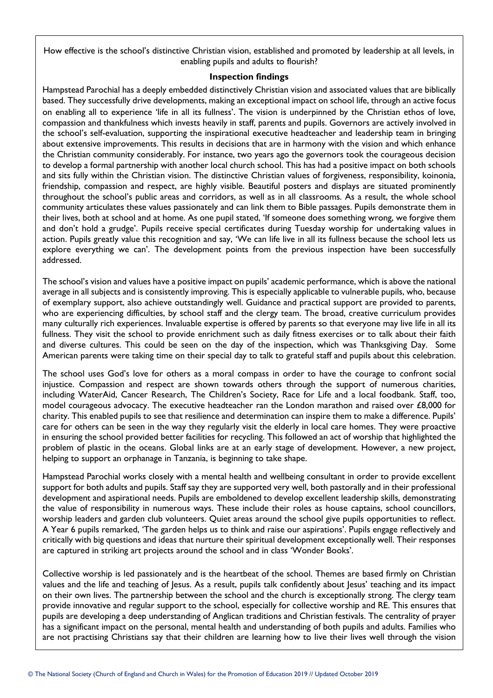How effective is the school's distinctive Christian vision, established and promoted by leadership at all levels, in enabling pupils and adults to flourish?

#### **Inspection findings**

Hampstead Parochial has a deeply embedded distinctively Christian vision and associated values that are biblically based. They successfully drive developments, making an exceptional impact on school life, through an active focus on enabling all to experience 'life in all its fullness'. The vision is underpinned by the Christian ethos of love, compassion and thankfulness which invests heavily in staff, parents and pupils. Governors are actively involved in the school's self-evaluation, supporting the inspirational executive headteacher and leadership team in bringing about extensive improvements. This results in decisions that are in harmony with the vision and which enhance the Christian community considerably. For instance, two years ago the governors took the courageous decision to develop a formal partnership with another local church school. This has had a positive impact on both schools and sits fully within the Christian vision. The distinctive Christian values of forgiveness, responsibility, koinonia, friendship, compassion and respect, are highly visible. Beautiful posters and displays are situated prominently throughout the school's public areas and corridors, as well as in all classrooms. As a result, the whole school community articulates these values passionately and can link them to Bible passages. Pupils demonstrate them in their lives, both at school and at home. As one pupil stated, 'If someone does something wrong, we forgive them and don't hold a grudge'. Pupils receive special certificates during Tuesday worship for undertaking values in action. Pupils greatly value this recognition and say, 'We can life live in all its fullness because the school lets us explore everything we can'. The development points from the previous inspection have been successfully addressed.

The school's vision and values have a positive impact on pupils' academic performance, which is above the national average in all subjects and is consistently improving. This is especially applicable to vulnerable pupils, who, because of exemplary support, also achieve outstandingly well. Guidance and practical support are provided to parents, who are experiencing difficulties, by school staff and the clergy team. The broad, creative curriculum provides many culturally rich experiences. Invaluable expertise is offered by parents so that everyone may live life in all its fullness. They visit the school to provide enrichment such as daily fitness exercises or to talk about their faith and diverse cultures. This could be seen on the day of the inspection, which was Thanksgiving Day. Some American parents were taking time on their special day to talk to grateful staff and pupils about this celebration.

The school uses God's love for others as a moral compass in order to have the courage to confront social injustice. Compassion and respect are shown towards others through the support of numerous charities, including WaterAid, Cancer Research, The Children's Society, Race for Life and a local foodbank. Staff, too, model courageous advocacy. The executive headteacher ran the London marathon and raised over £8,000 for charity. This enabled pupils to see that resilience and determination can inspire them to make a difference. Pupils' care for others can be seen in the way they regularly visit the elderly in local care homes. They were proactive in ensuring the school provided better facilities for recycling. This followed an act of worship that highlighted the problem of plastic in the oceans. Global links are at an early stage of development. However, a new project, helping to support an orphanage in Tanzania, is beginning to take shape.

Hampstead Parochial works closely with a mental health and wellbeing consultant in order to provide excellent support for both adults and pupils. Staff say they are supported very well, both pastorally and in their professional development and aspirational needs. Pupils are emboldened to develop excellent leadership skills, demonstrating the value of responsibility in numerous ways. These include their roles as house captains, school councillors, worship leaders and garden club volunteers. Quiet areas around the school give pupils opportunities to reflect. A Year 6 pupils remarked, 'The garden helps us to think and raise our aspirations'. Pupils engage reflectively and critically with big questions and ideas that nurture their spiritual development exceptionally well. Their responses are captured in striking art projects around the school and in class 'Wonder Books'.

Collective worship is led passionately and is the heartbeat of the school. Themes are based firmly on Christian values and the life and teaching of Jesus. As a result, pupils talk confidently about Jesus' teaching and its impact on their own lives. The partnership between the school and the church is exceptionally strong. The clergy team provide innovative and regular support to the school, especially for collective worship and RE. This ensures that pupils are developing a deep understanding of Anglican traditions and Christian festivals. The centrality of prayer has a significant impact on the personal, mental health and understanding of both pupils and adults. Families who are not practising Christians say that their children are learning how to live their lives well through the vision